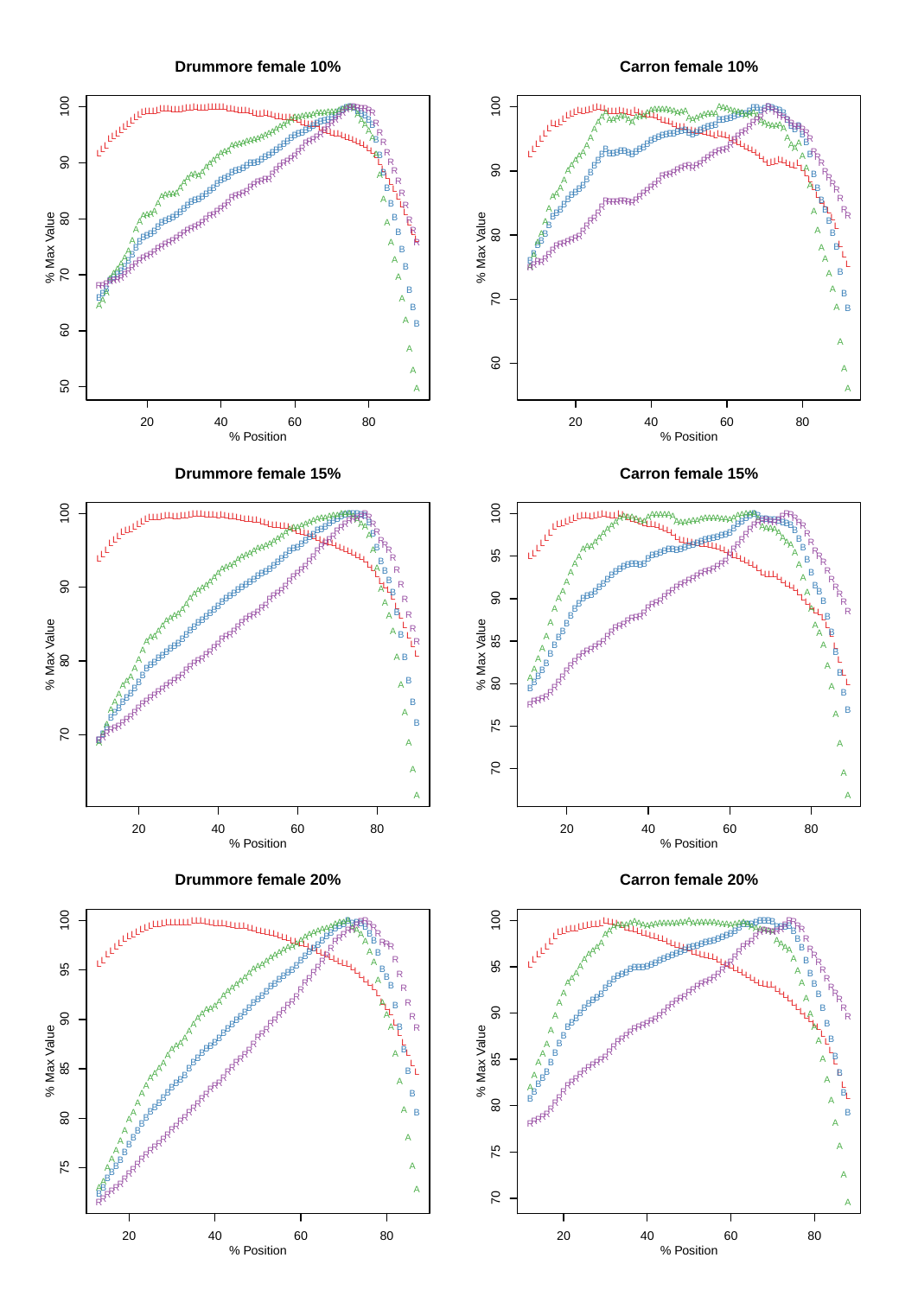**Drummore female 10%**

**Carron female 10%**